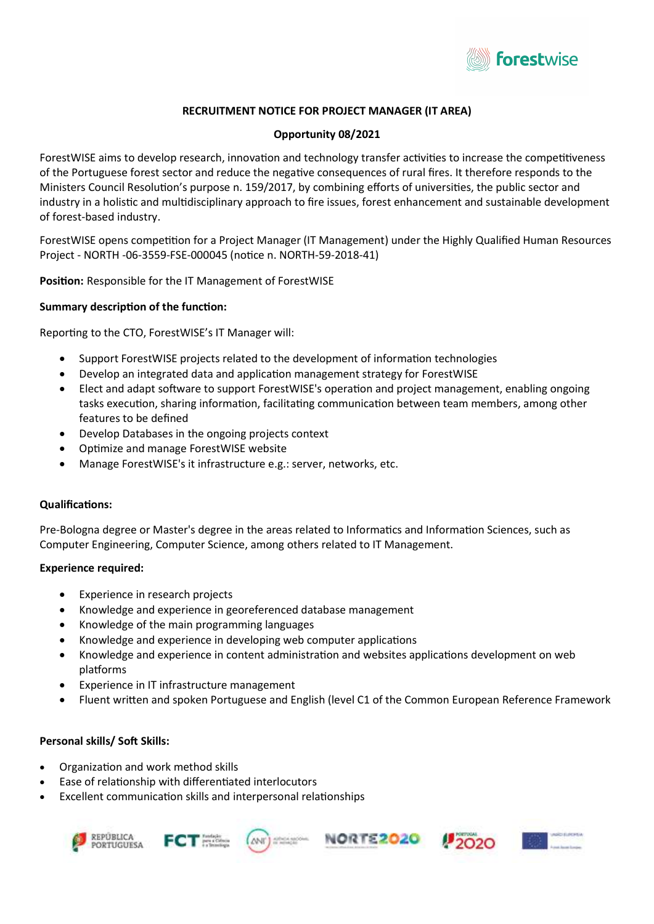

# RECRUITMENT NOTICE FOR PROJECT MANAGER (IT AREA)

### Opportunity 08/2021

ForestWISE aims to develop research, innovation and technology transfer activities to increase the competitiveness of the Portuguese forest sector and reduce the negative consequences of rural fires. It therefore responds to the Ministers Council Resolution's purpose n. 159/2017, by combining efforts of universities, the public sector and industry in a holistic and multidisciplinary approach to fire issues, forest enhancement and sustainable development of forest-based industry.

ForestWISE opens competition for a Project Manager (IT Management) under the Highly Qualified Human Resources Project - NORTH -06-3559-FSE-000045 (noƟce n. NORTH-59-2018-41)

Position: Responsible for the IT Management of ForestWISE

### Summary description of the function:

Reporting to the CTO, ForestWISE's IT Manager will:

- Support ForestWISE projects related to the development of information technologies
- Develop an integrated data and application management strategy for ForestWISE
- Elect and adapt software to support ForestWISE's operation and project management, enabling ongoing tasks execution, sharing information, facilitating communication between team members, among other features to be defined
- Develop Databases in the ongoing projects context
- Optimize and manage ForestWISE website
- Manage ForestWISE's it infrastructure e.g.: server, networks, etc.

#### QualificaƟons:

Pre-Bologna degree or Master's degree in the areas related to Informatics and Information Sciences, such as Computer Engineering, Computer Science, among others related to IT Management.

#### Experience required:

- Experience in research projects
- Knowledge and experience in georeferenced database management
- Knowledge of the main programming languages
- Knowledge and experience in developing web computer applications
- Knowledge and experience in content administration and websites applications development on web platforms
- Experience in IT infrastructure management
- Fluent written and spoken Portuguese and English (level C1 of the Common European Reference Framework

## Personal skills/ Soft Skills:

- Organization and work method skills
- Ease of relationship with differentiated interlocutors
- Excellent communication skills and interpersonal relationships